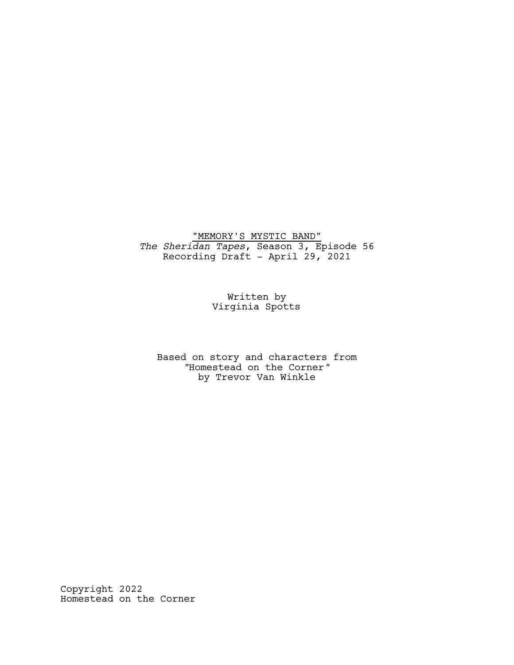"MEMORY'S MYSTIC BAND" *The Sheridan Tapes*, Season 3, Episode 56 Recording Draft - April 29, 2021

> Written by Virginia Spotts

Based on story and characters from *"*Homestead on the Corner*"* by Trevor Van Winkle

Copyright 2022 Homestead on the Corner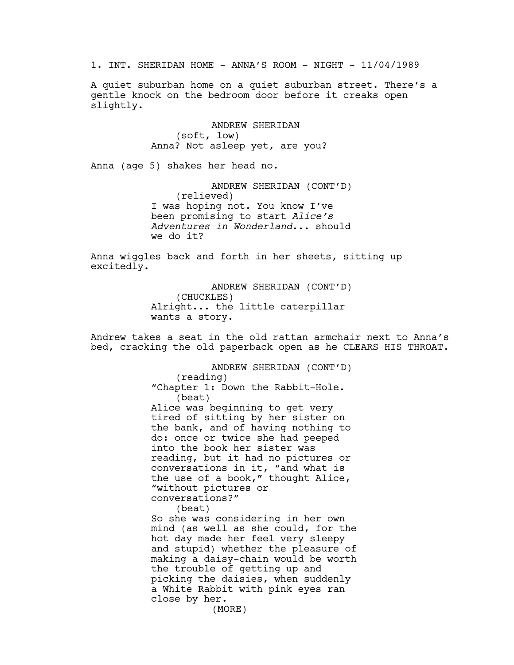1. INT. SHERIDAN HOME - ANNA'S ROOM - NIGHT - 11/04/1989

A quiet suburban home on a quiet suburban street. There's a gentle knock on the bedroom door before it creaks open slightly.

> ANDREW SHERIDAN (soft, low) Anna? Not asleep yet, are you?

Anna (age 5) shakes her head no.

ANDREW SHERIDAN (CONT'D) (relieved) I was hoping not. You know I've been promising to start *Alice's Adventures in Wonderland*... should we do it?

Anna wiggles back and forth in her sheets, sitting up excitedly.

> ANDREW SHERIDAN (CONT'D) (CHUCKLES) Alright... the little caterpillar wants a story.

Andrew takes a seat in the old rattan armchair next to Anna's bed, cracking the old paperback open as he CLEARS HIS THROAT.

> ANDREW SHERIDAN (CONT'D) (reading) "Chapter 1: Down the Rabbit-Hole. (beat) Alice was beginning to get very tired of sitting by her sister on the bank, and of having nothing to do: once or twice she had peeped into the book her sister was reading, but it had no pictures or conversations in it, "and what is the use of a book," thought Alice, "without pictures or conversations?" (beat) So she was considering in her own mind (as well as she could, for the hot day made her feel very sleepy and stupid) whether the pleasure of making a daisy-chain would be worth the trouble of getting up and picking the daisies, when suddenly a White Rabbit with pink eyes ran close by her. (MORE)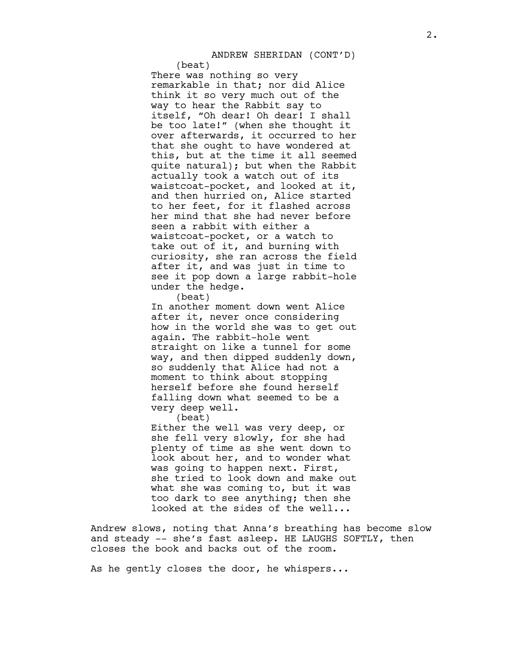ANDREW SHERIDAN (CONT'D)

(beat) There was nothing so very remarkable in that; nor did Alice think it so very much out of the way to hear the Rabbit say to itself, "Oh dear! Oh dear! I shall be too late!" (when she thought it over afterwards, it occurred to her that she ought to have wondered at this, but at the time it all seemed quite natural); but when the Rabbit actually took a watch out of its waistcoat-pocket, and looked at it, and then hurried on, Alice started to her feet, for it flashed across her mind that she had never before seen a rabbit with either a waistcoat-pocket, or a watch to take out of it, and burning with curiosity, she ran across the field after it, and was just in time to see it pop down a large rabbit-hole under the hedge.

(beat)

In another moment down went Alice after it, never once considering how in the world she was to get out again. The rabbit-hole went straight on like a tunnel for some way, and then dipped suddenly down, so suddenly that Alice had not a moment to think about stopping herself before she found herself falling down what seemed to be a very deep well.

(beat)

Either the well was very deep, or she fell very slowly, for she had plenty of time as she went down to look about her, and to wonder what was going to happen next. First, she tried to look down and make out what she was coming to, but it was too dark to see anything; then she looked at the sides of the well...

Andrew slows, noting that Anna's breathing has become slow and steady -- she's fast asleep. HE LAUGHS SOFTLY, then closes the book and backs out of the room.

As he gently closes the door, he whispers...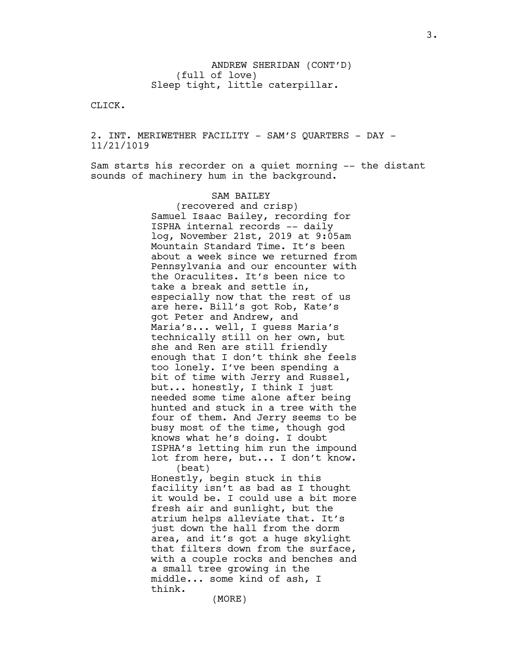ANDREW SHERIDAN (CONT'D) (full of love) Sleep tight, little caterpillar.

CLICK.

2. INT. MERIWETHER FACILITY - SAM'S QUARTERS - DAY -11/21/1019

Sam starts his recorder on a quiet morning -- the distant sounds of machinery hum in the background.

## SAM BAILEY

(recovered and crisp) Samuel Isaac Bailey, recording for ISPHA internal records -- daily log, November 21st, 2019 at 9:05am Mountain Standard Time. It's been about a week since we returned from Pennsylvania and our encounter with the Oraculites. It's been nice to take a break and settle in, especially now that the rest of us are here. Bill's got Rob, Kate's got Peter and Andrew, and Maria's... well, I guess Maria's technically still on her own, but she and Ren are still friendly enough that I don't think she feels too lonely. I've been spending a bit of time with Jerry and Russel, but... honestly, I think I just needed some time alone after being hunted and stuck in a tree with the four of them. And Jerry seems to be busy most of the time, though god knows what he's doing. I doubt ISPHA's letting him run the impound lot from here, but... I don't know. (beat) Honestly, begin stuck in this

facility isn't as bad as I thought it would be. I could use a bit more fresh air and sunlight, but the atrium helps alleviate that. It's just down the hall from the dorm area, and it's got a huge skylight that filters down from the surface, with a couple rocks and benches and a small tree growing in the middle... some kind of ash, I think.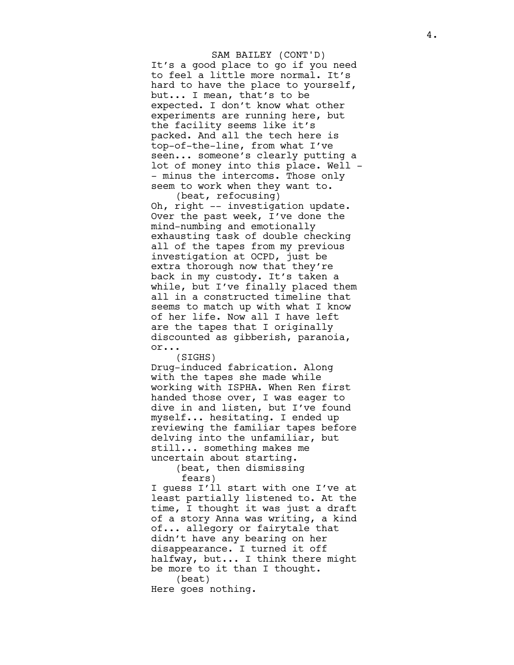It's a good place to go if you need to feel a little more normal. It's hard to have the place to yourself, but... I mean, that's to be expected. I don't know what other experiments are running here, but the facility seems like it's packed. And all the tech here is top-of-the-line, from what I've seen... someone's clearly putting a lot of money into this place. Well -- minus the intercoms. Those only seem to work when they want to. SAM BAILEY (CONT'D)

(beat, refocusing) Oh, right -- investigation update. Over the past week, I've done the mind-numbing and emotionally exhausting task of double checking all of the tapes from my previous investigation at OCPD, just be extra thorough now that they're back in my custody. It's taken a while, but I've finally placed them all in a constructed timeline that seems to match up with what I know of her life. Now all I have left are the tapes that I originally discounted as gibberish, paranoia, o r . .

.<br>(SIGHS)

Drug-induced fabrication. Along with the tapes she made while working with ISPHA. When Ren first handed those over, I was eager to dive in and listen, but I've found myself... hesitating. I ended up reviewing the familiar tapes before delving into the unfamiliar, but still... something makes me uncertain about starting.

(beat, then dismissing fears)

I guess I'll start with one I've at least partially listened to. At the time, I thought it was just a draft of a story Anna was writing, a kind of... allegory or fairytale that didn't have any bearing on her disappearance. I turned it off halfway, but... I think there might be more to it than I thought. (beat) Here goes nothing.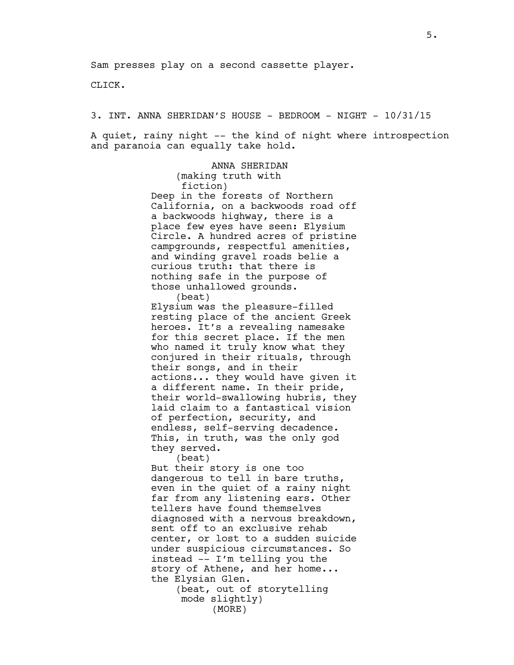CLICK.

3. INT. ANNA SHERIDAN'S HOUSE - BEDROOM - NIGHT - 10/31/15

A quiet, rainy night -- the kind of night where introspection and paranoia can equally take hold.

> ANNA SHERIDAN (making truth with fiction) Deep in the forests of Northern California, on a backwoods road off a backwoods highway, there is a place few eyes have seen: Elysium Circle. A hundred acres of pristine campgrounds, respectful amenities, and winding gravel roads belie a curious truth: that there is nothing safe in the purpose of those unhallowed grounds.

> (beat) Elysium was the pleasure-filled resting place of the ancient Greek heroes. It's a revealing namesake for this secret place. If the men who named it truly know what they conjured in their rituals, through their songs, and in their actions... they would have given it a different name. In their pride, their world-swallowing hubris, they laid claim to a fantastical vision of perfection, security, and endless, self-serving decadence. This, in truth, was the only god they served.

> > (beat)

But their story is one too dangerous to tell in bare truths, even in the quiet of a rainy night far from any listening ears. Other tellers have found themselves diagnosed with a nervous breakdown, sent off to an exclusive rehab center, or lost to a sudden suicide under suspicious circumstances. So instead –- I'm telling you the story of Athene, and her home... the Elysian Glen.

(beat, out of storytelling mode slightly) (MORE)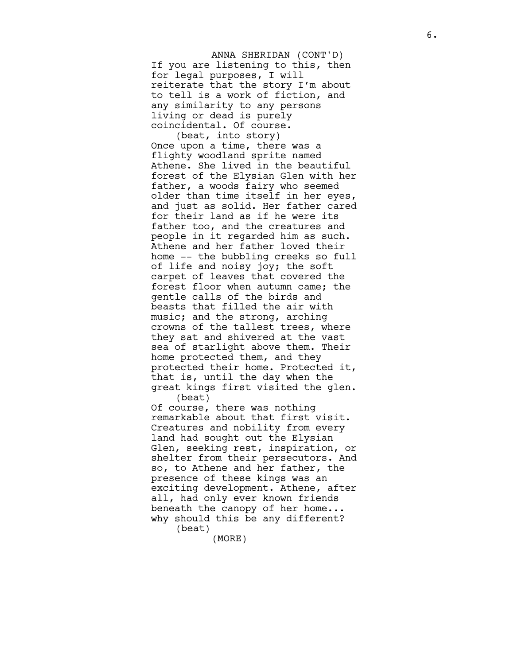If you are listening to this, then for legal purposes, I will reiterate that the story I'm about to tell is a work of fiction, and any similarity to any persons living or dead is purely coincidental. Of course. ANNA SHERIDAN (CONT'D)

(beat, into story) Once upon a time, there was a flighty woodland sprite named Athene. She lived in the beautiful forest of the Elysian Glen with her father, a woods fairy who seemed older than time itself in her eyes, and just as solid. Her father cared for their land as if he were its father too, and the creatures and people in it regarded him as such. Athene and her father loved their home -- the bubbling creeks so full of life and noisy joy; the soft carpet of leaves that covered the forest floor when autumn came; the gentle calls of the birds and beasts that filled the air with music; and the strong, arching crowns of the tallest trees, where they sat and shivered at the vast sea of starlight above them. Their home protected them, and they protected their home. Protected it, that is, until the day when the great kings first visited the glen. (beat)

Of course, there was nothing remarkable about that first visit. Creatures and nobility from every land had sought out the Elysian Glen, seeking rest, inspiration, or shelter from their persecutors. And so, to Athene and her father, the presence of these kings was an exciting development. Athene, after all, had only ever known friends beneath the canopy of her home... why should this be any different? (beat)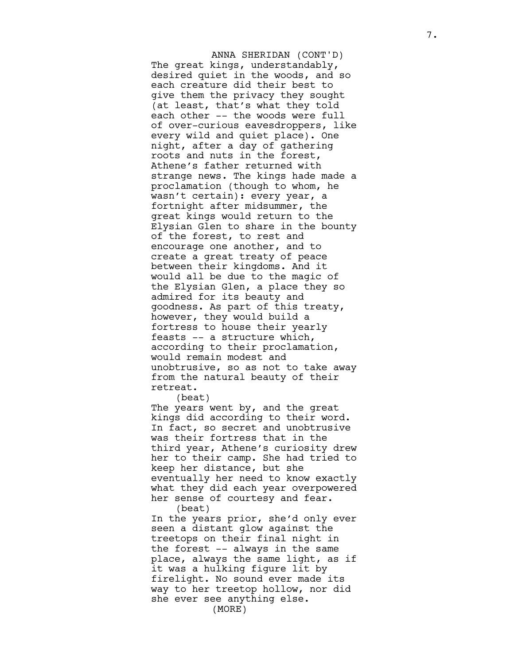The great kings, understandably, desired quiet in the woods, and so each creature did their best to give them the privacy they sought (at least, that's what they told each other -- the woods were full of over-curious eavesdroppers, like every wild and quiet place). One night, after a day of gathering roots and nuts in the forest, Athene's father returned with strange news. The kings hade made a proclamation (though to whom, he wasn't certain): every year, a fortnight after midsummer, the great kings would return to the Elysian Glen to share in the bounty of the forest, to rest and encourage one another, and to create a great treaty of peace between their kingdoms. And it would all be due to the magic of the Elysian Glen, a place they so admired for its beauty and goodness. As part of this treaty, however, they would build a fortress to house their yearly feasts -- a structure which, according to their proclamation, would remain modest and unobtrusive, so as not to take away from the natural beauty of their retreat. ANNA SHERIDAN (CONT'D)

(beat)

The years went by, and the great kings did according to their word. In fact, so secret and unobtrusive was their fortress that in the third year, Athene's curiosity drew her to their camp. She had tried to keep her distance, but she eventually her need to know exactly what they did each year overpowered her sense of courtesy and fear. (beat)

In the years prior, she'd only ever seen a distant glow against the treetops on their final night in the forest -- always in the same place, always the same light, as if it was a hulking figure lit by firelight. No sound ever made its way to her treetop hollow, nor did she ever see anything else. (MORE)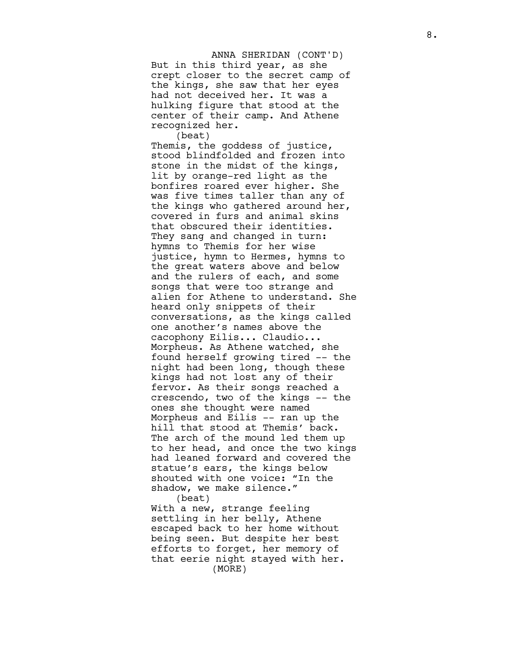But in this third year, as she crept closer to the secret camp of the kings, she saw that her eyes had not deceived her. It was a hulking figure that stood at the center of their camp. And Athene recognized her. ANNA SHERIDAN (CONT'D)

(beat) Themis, the goddess of justice, stood blindfolded and frozen into stone in the midst of the kings, lit by orange-red light as the bonfires roared ever higher. She was five times taller than any of the kings who gathered around her, covered in furs and animal skins that obscured their identities. They sang and changed in turn: hymns to Themis for her wise justice, hymn to Hermes, hymns to the great waters above and below and the rulers of each, and some songs that were too strange and alien for Athene to understand. She heard only snippets of their conversations, as the kings called one another's names above the cacophony Eilis... Claudio... Morpheus. As Athene watched, she found herself growing tired -- the night had been long, though these kings had not lost any of their fervor. As their songs reached a crescendo, two of the kings -- the ones she thought were named Morpheus and Eilis -- ran up the hill that stood at Themis' back. The arch of the mound led them up to her head, and once the two kings had leaned forward and covered the statue's ears, the kings below shouted with one voice: "In the shadow, we make silence." (beat)

With a new, strange feeling settling in her belly, Athene escaped back to her home without being seen. But despite her best efforts to forget, her memory of that eerie night stayed with her. (MORE)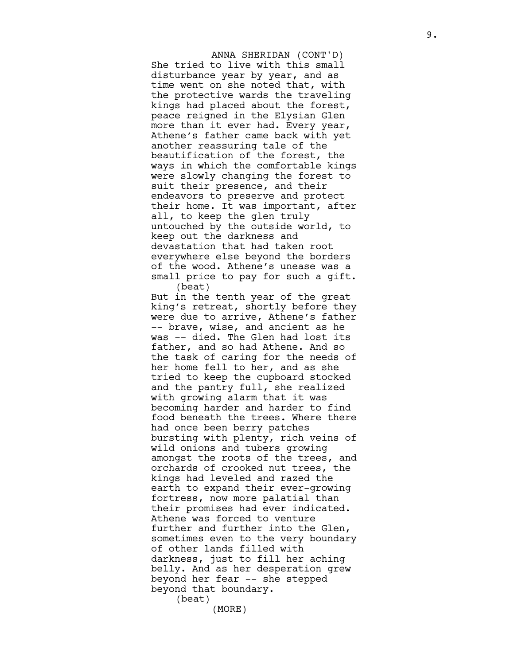She tried to live with this small disturbance year by year, and as time went on she noted that, with the protective wards the traveling kings had placed about the forest, peace reigned in the Elysian Glen more than it ever had. Every year, Athene's father came back with yet another reassuring tale of the beautification of the forest, the ways in which the comfortable kings were slowly changing the forest to suit their presence, and their endeavors to preserve and protect their home. It was important, after all, to keep the glen truly untouched by the outside world, to keep out the darkness and devastation that had taken root everywhere else beyond the borders of the wood. Athene's unease was a small price to pay for such a gift. (beat) ANNA SHERIDAN (CONT'D)

But in the tenth year of the great king's retreat, shortly before they were due to arrive, Athene's father -- brave, wise, and ancient as he was -- died. The Glen had lost its father, and so had Athene. And so the task of caring for the needs of her home fell to her, and as she tried to keep the cupboard stocked and the pantry full, she realized with growing alarm that it was becoming harder and harder to find food beneath the trees. Where there had once been berry patches bursting with plenty, rich veins of wild onions and tubers growing amongst the roots of the trees, and orchards of crooked nut trees, the kings had leveled and razed the earth to expand their ever-growing fortress, now more palatial than their promises had ever indicated. Athene was forced to venture further and further into the Glen, sometimes even to the very boundary of other lands filled with darkness, just to fill her aching belly. And as her desperation grew beyond her fear -- she stepped beyond that boundary. (beat)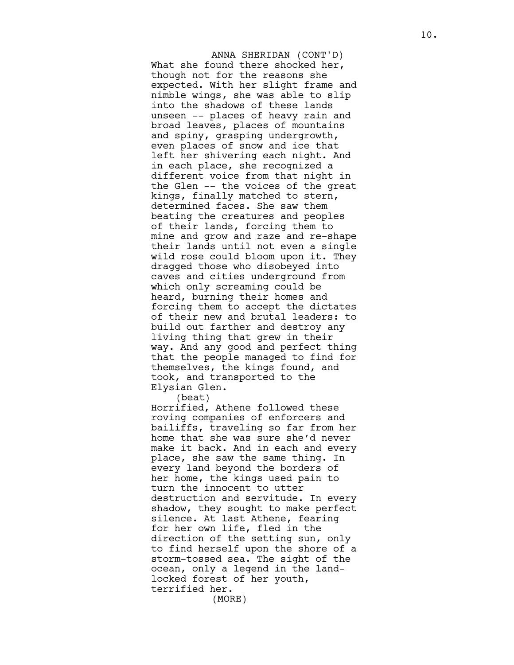What she found there shocked her, though not for the reasons she expected. With her slight frame and nimble wings, she was able to slip into the shadows of these lands unseen -- places of heavy rain and broad leaves, places of mountains and spiny, grasping undergrowth, even places of snow and ice that left her shivering each night. And in each place, she recognized a different voice from that night in the Glen -- the voices of the great kings, finally matched to stern, determined faces. She saw them beating the creatures and peoples of their lands, forcing them to mine and grow and raze and re-shape their lands until not even a single wild rose could bloom upon it. They dragged those who disobeyed into caves and cities underground from which only screaming could be heard, burning their homes and forcing them to accept the dictates of their new and brutal leaders: to build out farther and destroy any living thing that grew in their way. And any good and perfect thing that the people managed to find for themselves, the kings found, and took, and transported to the Elysian Glen. ANNA SHERIDAN (CONT'D)

(beat)

Horrified, Athene followed these roving companies of enforcers and bailiffs, traveling so far from her home that she was sure she'd never make it back. And in each and every place, she saw the same thing. In every land beyond the borders of her home, the kings used pain to turn the innocent to utter destruction and servitude. In every shadow, they sought to make perfect silence. At last Athene, fearing for her own life, fled in the direction of the setting sun, only to find herself upon the shore of a storm-tossed sea. The sight of the ocean, only a legend in the landlocked forest of her youth, terrified her.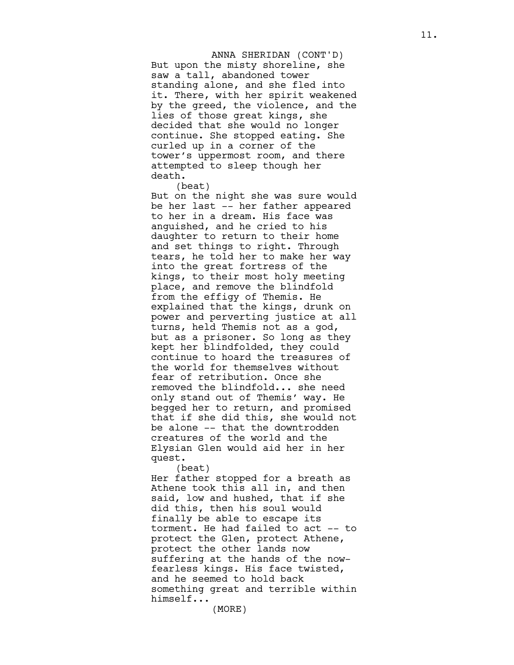But upon the misty shoreline, she saw a tall, abandoned tower standing alone, and she fled into it. There, with her spirit weakened by the greed, the violence, and the lies of those great kings, she decided that she would no longer continue. She stopped eating. She curled up in a corner of the tower's uppermost room, and there attempted to sleep though her death. ANNA SHERIDAN (CONT'D)

(beat)

But on the night she was sure would be her last -- her father appeared to her in a dream. His face was anguished, and he cried to his daughter to return to their home and set things to right. Through tears, he told her to make her way into the great fortress of the kings, to their most holy meeting place, and remove the blindfold from the effigy of Themis. He explained that the kings, drunk on power and perverting justice at all turns, held Themis not as a god, but as a prisoner. So long as they kept her blindfolded, they could continue to hoard the treasures of the world for themselves without fear of retribution. Once she removed the blindfold... she need only stand out of Themis' way. He begged her to return, and promised that if she did this, she would not be alone -- that the downtrodden creatures of the world and the Elysian Glen would aid her in her quest.

(beat)

Her father stopped for a breath as Athene took this all in, and then said, low and hushed, that if she did this, then his soul would finally be able to escape its torment. He had failed to act -- to protect the Glen, protect Athene, protect the other lands now suffering at the hands of the nowfearless kings. His face twisted, and he seemed to hold back something great and terrible within himself...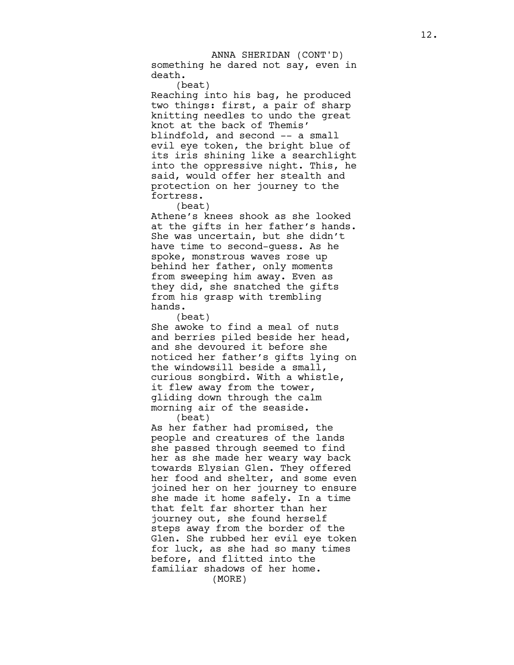something he dared not say, even in death. ANNA SHERIDAN (CONT'D)

(beat)

Reaching into his bag, he produced two things: first, a pair of sharp knitting needles to undo the great knot at the back of Themis' blindfold, and second -- a small evil eye token, the bright blue of its iris shining like a searchlight into the oppressive night. This, he said, would offer her stealth and protection on her journey to the fortress.

(beat)

Athene's knees shook as she looked at the gifts in her father's hands. She was uncertain, but she didn't have time to second-guess. As he spoke, monstrous waves rose up behind her father, only moments from sweeping him away. Even as they did, she snatched the gifts from his grasp with trembling h a n d s .

(beat)

She awoke to find a meal of nuts and berries piled beside her head, and she devoured it before she noticed her father's gifts lying on the windowsill beside a small, curious songbird. With a whistle, it flew away from the tower, gliding down through the calm morning air of the seaside. (beat)

As her father had promised, the people and creatures of the lands she passed through seemed to find her as she made her weary way back towards Elysian Glen. They offered her food and shelter, and some even joined her on her journey to ensure she made it home safely. In a time that felt far shorter than her journey out, she found herself steps away from the border of the Glen. She rubbed her evil eye token for luck, as she had so many times before, and flitted into the familiar shadows of her home. (MORE)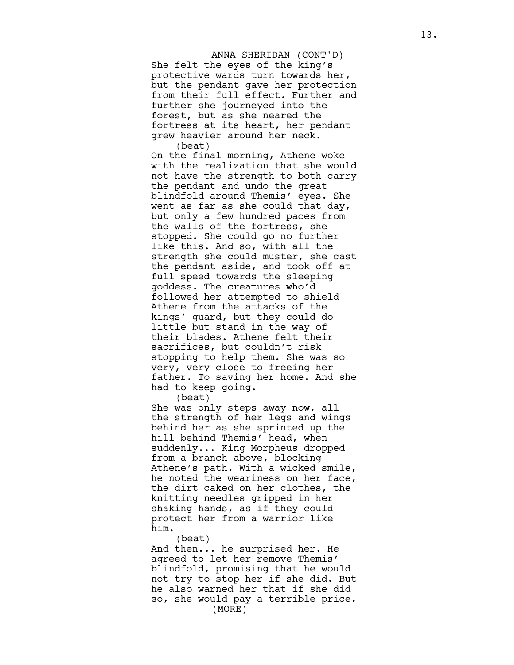She felt the eyes of the king's protective wards turn towards her, but the pendant gave her protection from their full effect. Further and further she journeyed into the forest, but as she neared the fortress at its heart, her pendant grew heavier around her neck. (beat) ANNA SHERIDAN (CONT'D)

On the final morning, Athene woke with the realization that she would not have the strength to both carry the pendant and undo the great blindfold around Themis' eyes. She went as far as she could that day, but only a few hundred paces from the walls of the fortress, she stopped. She could go no further like this. And so, with all the strength she could muster, she cast the pendant aside, and took off at full speed towards the sleeping goddess. The creatures who'd followed her attempted to shield Athene from the attacks of the kings' guard, but they could do little but stand in the way of their blades. Athene felt their sacrifices, but couldn't risk stopping to help them. She was so very, very close to freeing her father. To saving her home. And she had to keep going.

(beat)

She was only steps away now, all the strength of her legs and wings behind her as she sprinted up the hill behind Themis' head, when suddenly... King Morpheus dropped from a branch above, blocking Athene's path. With a wicked smile, he noted the weariness on her face, the dirt caked on her clothes, the knitting needles gripped in her shaking hands, as if they could protect her from a warrior like h i m .

(beat)

And then... he surprised her. He agreed to let her remove Themis' blindfold, promising that he would not try to stop her if she did. But he also warned her that if she did so, she would pay a terrible price. (MORE)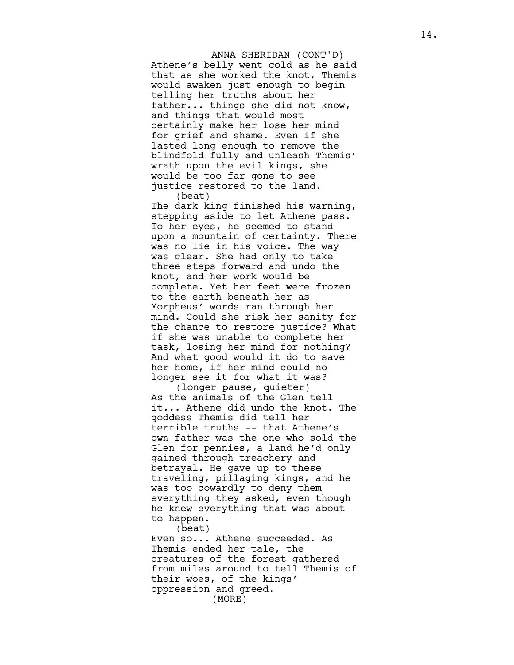Athene's belly went cold as he said that as she worked the knot, Themis would awaken just enough to begin telling her truths about her father... things she did not know, and things that would most certainly make her lose her mind for grief and shame. Even if she lasted long enough to remove the blindfold fully and unleash Themis' wrath upon the evil kings, she would be too far gone to see justice restored to the land. (beat) ANNA SHERIDAN (CONT'D)

The dark king finished his warning, stepping aside to let Athene pass. To her eyes, he seemed to stand upon a mountain of certainty. There was no lie in his voice. The way was clear. She had only to take three steps forward and undo the knot, and her work would be complete. Yet her feet were frozen to the earth beneath her as Morpheus' words ran through her mind. Could she risk her sanity for the chance to restore justice? What if she was unable to complete her task, losing her mind for nothing? And what good would it do to save her home, if her mind could no longer see it for what it was?

(longer pause, quieter) As the animals of the Glen tell it... Athene did undo the knot. The goddess Themis did tell her terrible truths -- that Athene's own father was the one who sold the Glen for pennies, a land he'd only gained through treachery and betrayal. He gave up to these traveling, pillaging kings, and he was too cowardly to deny them everything they asked, even though he knew everything that was about to happen.

(beat)

Even so... Athene succeeded. As Themis ended her tale, the creatures of the forest gathered from miles around to tell Themis of their woes, of the kings' oppression and greed. (MORE)

1 4 .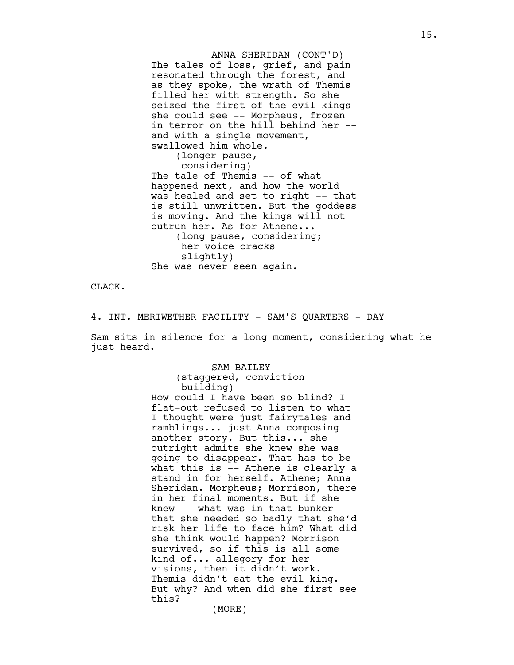The tales of loss, grief, and pain resonated through the forest, and as they spoke, the wrath of Themis filled her with strength. So she seized the first of the evil kings she could see -- Morpheus, frozen in terror on the hill behind her - and with a single movement, swallowed him whole. (longer pause, considering) The tale of Themis -- of what happened next, and how the world was healed and set to right -- that is still unwritten. But the goddess is moving. And the kings will not outrun her. As for Athene... (long pause, considering; her voice cracks ANNA SHERIDAN (CONT'D)

CLACK.

4. INT. MERIWETHER FACILITY - SAM'S QUARTERS - DAY

slightly)

She was never seen again.

Sam sits in silence for a long moment, considering what he just heard.

## SAM BAILEY

(staggered, conviction building) How could I have been so blind? I flat-out refused to listen to what I thought were just fairytales and ramblings... just Anna composing another story. But this... she outright admits she knew she was going to disappear. That has to be what this is -- Athene is clearly a stand in for herself. Athene; Anna Sheridan. Morpheus; Morrison, there in her final moments. But if she knew -- what was in that bunker that she needed so badly that she'd risk her life to face him? What did she think would happen? Morrison survived, so if this is all some kind of... allegory for her visions, then it didn't work. Themis didn't eat the evil king. But why? And when did she first see this? (MORE)